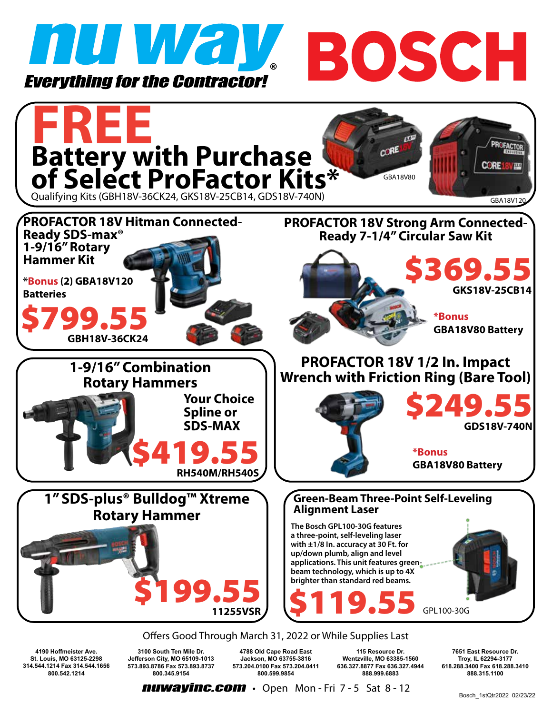





**nuwayinc.com** • Open Mon-Fri 7-5 Sat 8-12 Bosch 1stQtr2022 02/23/22